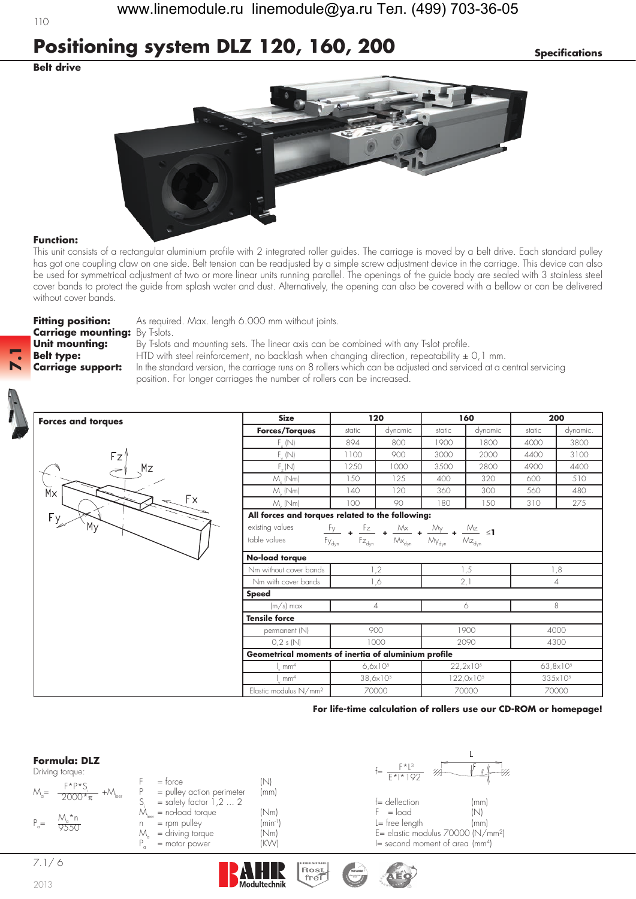# **Positioning system DLZ 120, 160, 200** *Specifications*

## **Belt drive**

110



### **Function:**

**7.1**

This unit consists of a rectangular aluminium profile with 2 integrated roller guides. The carriage is moved by a belt drive. Each standard pulley has got one coupling claw on one side. Belt tension can be readjusted by a simple screw adjustment device in the carriage. This device can also be used for symmetrical adjustment of two or more linear units running parallel. The openings of the guide body are sealed with 3 stainless steel cover bands to protect the guide from splash water and dust. Alternatively, the opening can also be covered with a bellow or can be delivered without cover bands.

**Carriage mounting:** By T-slots.

**Fitting position:** As required. Max. length 6.000 mm without joints.

**Unit mounting:** By T-slots and mounting sets. The linear axis can be combined with any T-slot profile. **Belt type:** HTD with steel reinforcement, no backlash when changing direction, repeatability  $\pm$  0,1 mm. **Carriage support:** In the standard version, the carriage runs on 8 rollers which can be adjusted and serviced at a central servicing position. For longer carriages the number of rollers can be increased.



| <b>Size</b>                                         | 120                                                    |                                       | 160                                       |                            | 200                      |          |
|-----------------------------------------------------|--------------------------------------------------------|---------------------------------------|-------------------------------------------|----------------------------|--------------------------|----------|
| <b>Forces/Torques</b>                               | static                                                 | dynamic                               | static                                    | dynamic                    | static                   | dynamic. |
| $F_{v}$ (N)                                         | 894                                                    | 800                                   | 1900                                      | 1800                       | 4000                     | 3800     |
| $F_{11}(N)$                                         | 1100                                                   | 900                                   | 3000                                      | 2000                       | 4400                     | 3100     |
| $F_{r}(N)$                                          | 1250                                                   | 1000                                  | 3500                                      | 2800                       | 4900                     | 4400     |
| $M$ (Nm)                                            | 150                                                    | 125                                   | 400                                       | 320                        | 600                      | 510      |
| $M_{\cdot}$ (Nm)                                    | 140                                                    | 120                                   | 360                                       | 300                        | 560                      | 480      |
| $M_{.}$ (Nm)                                        | 100                                                    | 90                                    | 180                                       | 150                        | 310                      | 275      |
| All forces and torques related to the following:    |                                                        |                                       |                                           |                            |                          |          |
| existing values                                     | Fy -<br>Fz                                             | Мx                                    | $My_$                                     | $M_{\leq}$ $\leq$ 1        |                          |          |
| table values                                        | $Fz_{dyn}$<br>$\mathsf{F}_{\mathsf{Y}_{\mathsf{dyn}}}$ | $\mathsf{M}\mathsf{x}_{\mathsf{dyn}}$ | $\mathcal{M}_{\mathsf{y}_{\mathsf{dyn}}}$ | $\mathsf{Mz}_{\text{dyn}}$ |                          |          |
| No-load torque                                      |                                                        |                                       |                                           |                            |                          |          |
| Nm without cover bands                              | 1,2                                                    |                                       | 1,5                                       |                            | 1,8                      |          |
| Nm with cover bands                                 | 1,6                                                    |                                       | 2,1                                       |                            | $\overline{\mathcal{A}}$ |          |
| <b>Speed</b>                                        |                                                        |                                       |                                           |                            |                          |          |
| $(m/s)$ max                                         | $\overline{\mathcal{A}}$                               |                                       | 6                                         |                            | 8                        |          |
| <b>Tensile force</b>                                |                                                        |                                       |                                           |                            |                          |          |
| permanent (N)                                       | 900                                                    |                                       | 1900                                      |                            | 4000                     |          |
| 0,2 s(N)                                            | 1000                                                   |                                       | 2090                                      |                            | 4300                     |          |
| Geometrical moments of inertia of aluminium profile |                                                        |                                       |                                           |                            |                          |          |
| mm <sup>4</sup>                                     | $6.6x10^{5}$                                           |                                       | $22, 2 \times 10^{5}$                     |                            | $63,8\times10^{5}$       |          |
| mm <sup>4</sup>                                     | 38,6x10 <sup>5</sup>                                   |                                       | $122,0\times10^{5}$                       |                            | 335×10 <sup>5</sup>      |          |
| Elastic modulus N/mm <sup>2</sup>                   | 70000                                                  |                                       | 70000                                     |                            | 70000                    |          |

#### **For life-time calculation of rollers use our CD-ROM or homepage!**

### **Formula: DLZ**

| Driving torque |
|----------------|
|                |

|                | Driving torque:                      |                           |                            | $F* *192$                       |      |
|----------------|--------------------------------------|---------------------------|----------------------------|---------------------------------|------|
|                | $F*P*S$                              | $=$ torce                 |                            |                                 |      |
| $M_{\alpha} =$ | $+{\cal M}_{\rm leer}$<br>$7000*\pi$ | = pulley action perimeter | (mm)                       |                                 |      |
|                |                                      | $=$ safety factor 1,2  2  |                            | $f =$ deflection                | (mm) |
|                |                                      | $=$ no-load torque        | (Nm)                       | $F = load$                      | INI. |
| $P_{0} =$      | M *n<br>9550                         | $=$ rpm pulley            | $(\text{min}^{\text{-}1})$ | $l = free length$               | (mm) |
|                |                                      | = driving torque          | (Nm)                       | E= elastic modulus 70000 (N/    |      |
|                |                                      | $=$ motor power           | (KW)                       | $I =$ second moment of area (mm |      |



n<sup>-1</sup>) L= free length (mm)<br>m) E= elastic modulus 70000 (N/t m) = elastic modulus 70000 (N/mm<sup>2</sup>)<br>V) = decond moment of area (mm<sup>4</sup>)  $I=$  second moment of area (mm<sup>4</sup>)